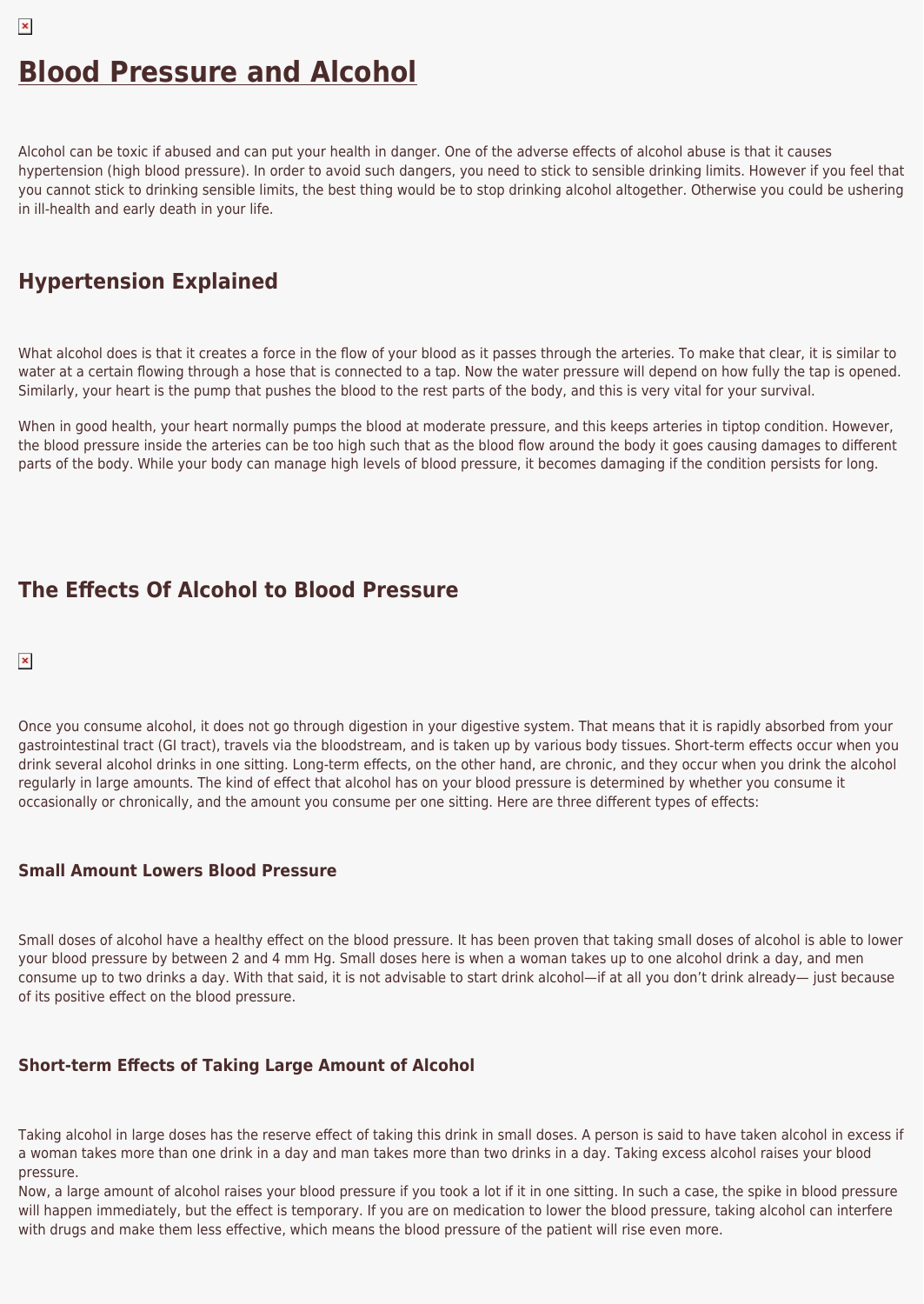Alcohol can be toxic if abused and can put your health in danger. One of the adverse effects of alcohol abuse is that it causes hypertension (high blood pressure). In order to avoid such dangers, you need to stick to sensible drinking limits. However if you feel that you cannot stick to drinking sensible limits, the best thing would be to stop drinking alcohol altogether. Otherwise you could be ushering in ill-health and early death in your life.

# **Hypertension Explained**

What alcohol does is that it creates a force in the flow of your blood as it passes through the arteries. To make that clear, it is similar to water at a certain flowing through a hose that is connected to a tap. Now the water pressure will depend on how fully the tap is opened. Similarly, your heart is the pump that pushes the blood to the rest parts of the body, and this is very vital for your survival.

When in good health, your heart normally pumps the blood at moderate pressure, and this keeps arteries in tiptop condition. However, the blood pressure inside the arteries can be too high such that as the blood flow around the body it goes causing damages to different parts of the body. While your body can manage high levels of blood pressure, it becomes damaging if the condition persists for long.

# **The Effects Of Alcohol to Blood Pressure**

#### $\pmb{\times}$

 $\pmb{\times}$ 

Once you consume alcohol, it does not go through digestion in your digestive system. That means that it is rapidly absorbed from your gastrointestinal tract (GI tract), travels via the bloodstream, and is taken up by various body tissues. Short-term effects occur when you drink several alcohol drinks in one sitting. Long-term effects, on the other hand, are chronic, and they occur when you drink the alcohol regularly in large amounts. The kind of effect that alcohol has on your blood pressure is determined by whether you consume it occasionally or chronically, and the amount you consume per one sitting. Here are three different types of effects:

### **Small Amount Lowers Blood Pressure**

Small doses of alcohol have a healthy effect on the blood pressure. It has been proven that taking small doses of alcohol is able to lower your blood pressure by between 2 and 4 mm Hg. Small doses here is when a woman takes up to one alcohol drink a day, and men consume up to two drinks a day. With that said, it is not advisable to start drink alcohol—if at all you don't drink already— just because of its positive effect on the blood pressure.

## **Short-term Effects of Taking Large Amount of Alcohol**

Taking alcohol in large doses has the reserve effect of taking this drink in small doses. A person is said to have taken alcohol in excess if a woman takes more than one drink in a day and man takes more than two drinks in a day. Taking excess alcohol raises your blood pressure.

Now, a large amount of alcohol raises your blood pressure if you took a lot if it in one sitting. In such a case, the spike in blood pressure will happen immediately, but the effect is temporary. If you are on medication to lower the blood pressure, taking alcohol can interfere with drugs and make them less effective, which means the blood pressure of the patient will rise even more.